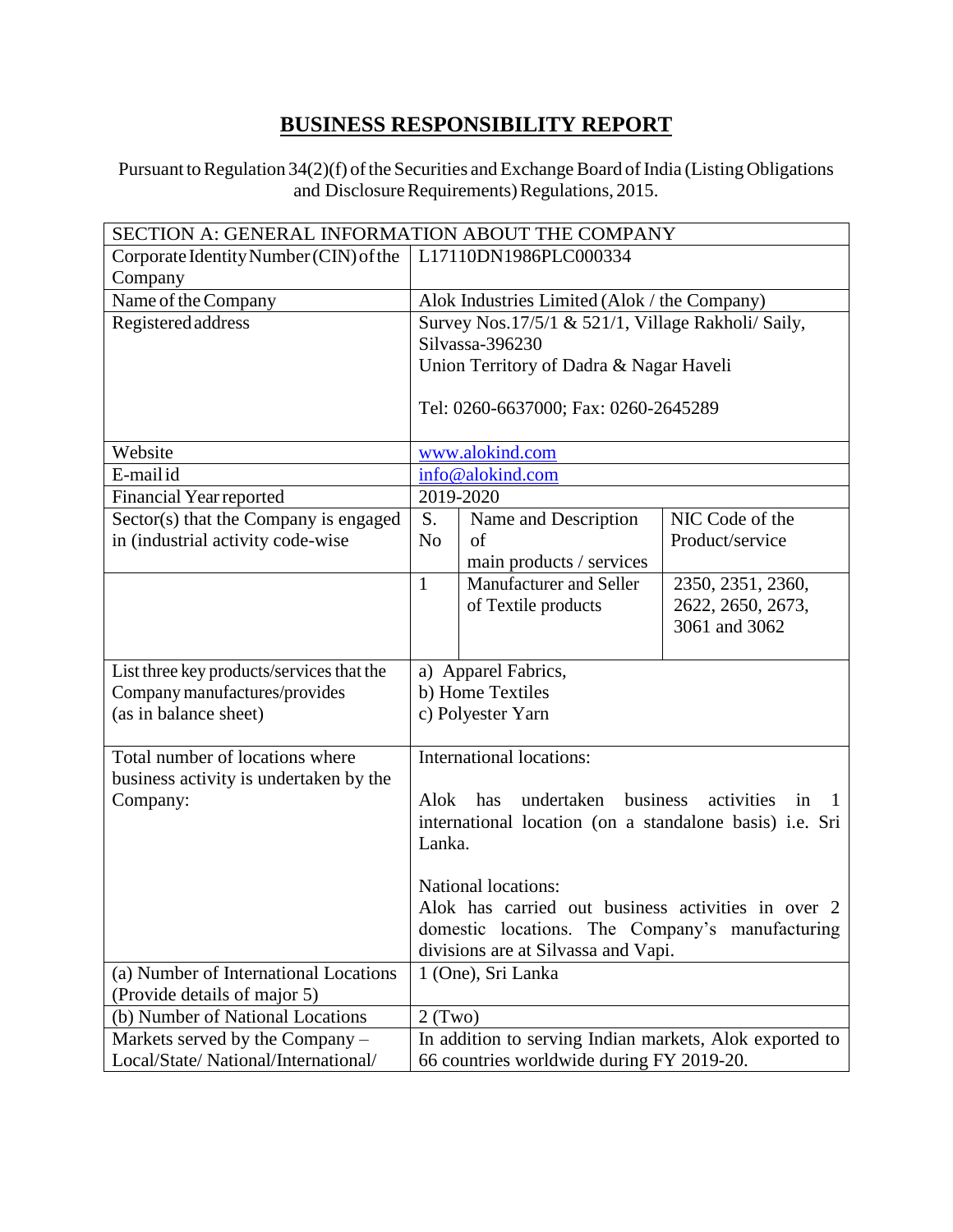## **BUSINESS RESPONSIBILITY REPORT**

Pursuant to Regulation 34(2)(f) of the Securities and Exchange Board of India (Listing Obligations and Disclosure Requirements) Regulations, 2015.

| SECTION A: GENERAL INFORMATION ABOUT THE COMPANY |                                                         |                                                         |                   |  |  |  |
|--------------------------------------------------|---------------------------------------------------------|---------------------------------------------------------|-------------------|--|--|--|
| Corporate Identity Number (CIN) of the           |                                                         | L17110DN1986PLC000334                                   |                   |  |  |  |
| Company                                          |                                                         |                                                         |                   |  |  |  |
| Name of the Company                              |                                                         | Alok Industries Limited (Alok / the Company)            |                   |  |  |  |
| Registered address                               |                                                         | Survey Nos.17/5/1 & 521/1, Village Rakholi/ Saily,      |                   |  |  |  |
|                                                  |                                                         | Silvassa-396230                                         |                   |  |  |  |
|                                                  |                                                         | Union Territory of Dadra & Nagar Haveli                 |                   |  |  |  |
|                                                  |                                                         |                                                         |                   |  |  |  |
|                                                  |                                                         | Tel: 0260-6637000; Fax: 0260-2645289                    |                   |  |  |  |
|                                                  |                                                         |                                                         |                   |  |  |  |
| Website                                          |                                                         | www.alokind.com                                         |                   |  |  |  |
| E-mailid                                         |                                                         | info@alokind.com                                        |                   |  |  |  |
| <b>Financial Year reported</b>                   |                                                         | 2019-2020                                               |                   |  |  |  |
| Sector(s) that the Company is engaged            | S.                                                      | Name and Description                                    | NIC Code of the   |  |  |  |
| in (industrial activity code-wise                | N <sub>o</sub>                                          | of                                                      | Product/service   |  |  |  |
|                                                  |                                                         | main products / services                                |                   |  |  |  |
|                                                  | $\mathbf{1}$                                            | Manufacturer and Seller                                 | 2350, 2351, 2360, |  |  |  |
|                                                  |                                                         | of Textile products                                     | 2622, 2650, 2673, |  |  |  |
|                                                  |                                                         |                                                         | 3061 and 3062     |  |  |  |
|                                                  |                                                         |                                                         |                   |  |  |  |
| List three key products/services that the        |                                                         | a) Apparel Fabrics,                                     |                   |  |  |  |
| Company manufactures/provides                    |                                                         | b) Home Textiles                                        |                   |  |  |  |
| (as in balance sheet)                            | c) Polyester Yarn                                       |                                                         |                   |  |  |  |
|                                                  |                                                         |                                                         |                   |  |  |  |
| Total number of locations where                  |                                                         | International locations:                                |                   |  |  |  |
| business activity is undertaken by the           | business                                                |                                                         |                   |  |  |  |
| Company:                                         | Alok                                                    | undertaken<br>has                                       | activities<br>1n  |  |  |  |
|                                                  |                                                         | international location (on a standalone basis) i.e. Sri |                   |  |  |  |
|                                                  | Lanka.                                                  |                                                         |                   |  |  |  |
|                                                  |                                                         | National locations:                                     |                   |  |  |  |
|                                                  |                                                         | Alok has carried out business activities in over 2      |                   |  |  |  |
|                                                  |                                                         | domestic locations. The Company's manufacturing         |                   |  |  |  |
|                                                  |                                                         | divisions are at Silvassa and Vapi.                     |                   |  |  |  |
| (a) Number of International Locations            |                                                         |                                                         |                   |  |  |  |
| (Provide details of major 5)                     | 1 (One), Sri Lanka                                      |                                                         |                   |  |  |  |
| (b) Number of National Locations                 | $2$ (Two)                                               |                                                         |                   |  |  |  |
| Markets served by the Company -                  | In addition to serving Indian markets, Alok exported to |                                                         |                   |  |  |  |
| Local/State/ National/International/             | 66 countries worldwide during FY 2019-20.               |                                                         |                   |  |  |  |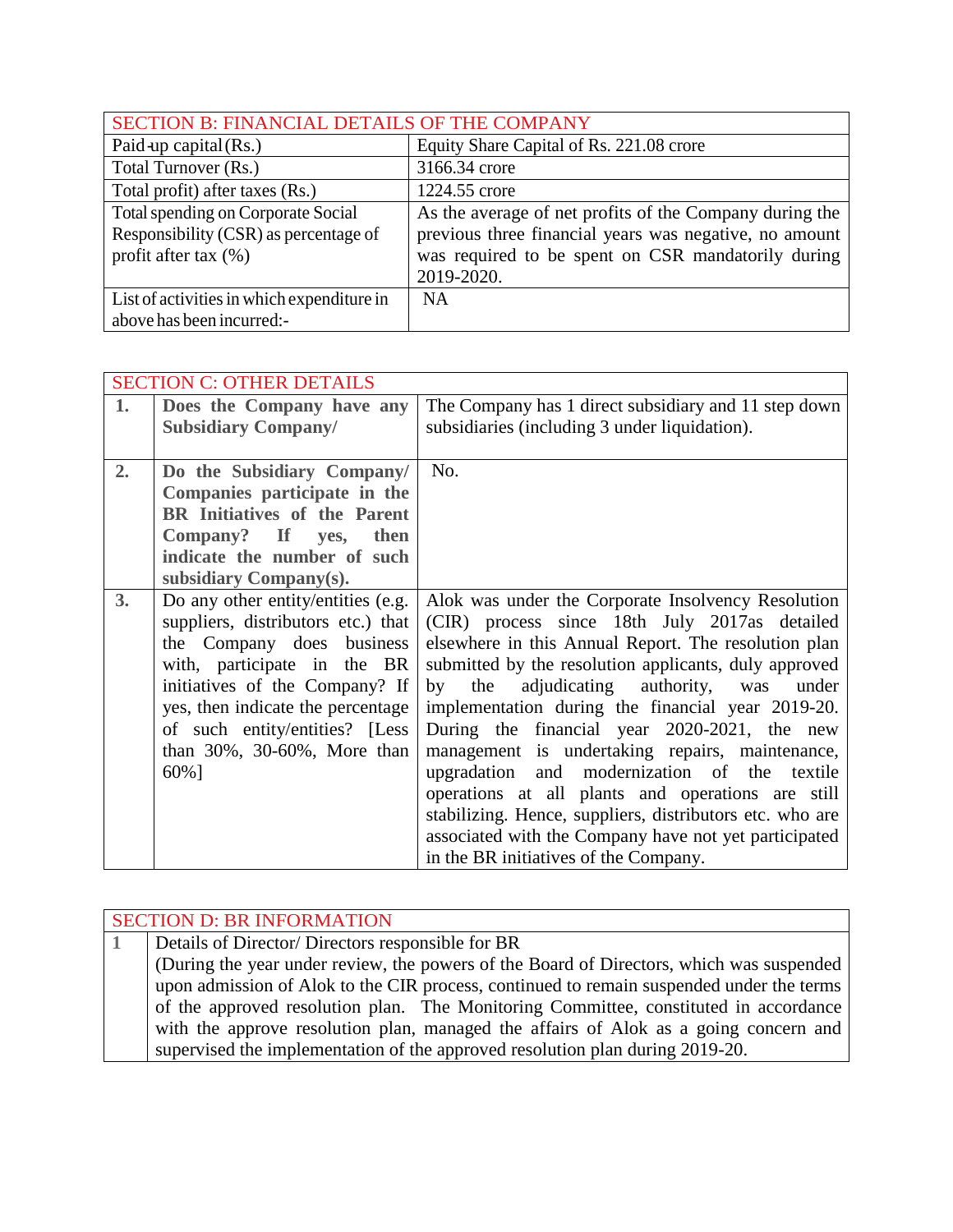|                                            | SECTION B: FINANCIAL DETAILS OF THE COMPANY             |  |  |  |  |
|--------------------------------------------|---------------------------------------------------------|--|--|--|--|
| Paid up capital $(Rs.)$                    | Equity Share Capital of Rs. 221.08 crore                |  |  |  |  |
| Total Turnover (Rs.)                       | 3166.34 crore                                           |  |  |  |  |
| Total profit) after taxes (Rs.)            | 1224.55 crore                                           |  |  |  |  |
| Total spending on Corporate Social         | As the average of net profits of the Company during the |  |  |  |  |
| Responsibility (CSR) as percentage of      | previous three financial years was negative, no amount  |  |  |  |  |
| profit after tax $(\%)$                    | was required to be spent on CSR mandatorily during      |  |  |  |  |
|                                            | 2019-2020.                                              |  |  |  |  |
| List of activities in which expenditure in | <b>NA</b>                                               |  |  |  |  |
| above has been incurred:-                  |                                                         |  |  |  |  |

|    | <b>SECTION C: OTHER DETAILS</b>     |                                                          |
|----|-------------------------------------|----------------------------------------------------------|
| 1. | Does the Company have any           | The Company has 1 direct subsidiary and 11 step down     |
|    | <b>Subsidiary Company/</b>          | subsidiaries (including 3 under liquidation).            |
|    |                                     |                                                          |
| 2. | Do the Subsidiary Company/          | No.                                                      |
|    | Companies participate in the        |                                                          |
|    | <b>BR</b> Initiatives of the Parent |                                                          |
|    | Company? If yes, then               |                                                          |
|    | indicate the number of such         |                                                          |
|    | subsidiary Company(s).              |                                                          |
| 3. | Do any other entity/entities (e.g.  | Alok was under the Corporate Insolvency Resolution       |
|    | suppliers, distributors etc.) that  | (CIR) process since 18th July 2017as detailed            |
|    | the Company does business           | elsewhere in this Annual Report. The resolution plan     |
|    | with, participate in the BR         | submitted by the resolution applicants, duly approved    |
|    | initiatives of the Company? If      | adjudicating authority, was<br>by the<br>under           |
|    | yes, then indicate the percentage   | implementation during the financial year 2019-20.        |
|    | of such entity/entities? [Less      | During the financial year 2020-2021, the new             |
|    | than $30\%$ , $30-60\%$ , More than | management is undertaking repairs, maintenance,          |
|    | 60%]                                | upgradation and modernization of the textile             |
|    |                                     | operations at all plants and operations are still        |
|    |                                     | stabilizing. Hence, suppliers, distributors etc. who are |
|    |                                     | associated with the Company have not yet participated    |
|    |                                     | in the BR initiatives of the Company.                    |

| <b>SECTION D: BR INFORMATION</b>                                                         |
|------------------------------------------------------------------------------------------|
| Details of Director/Directors responsible for BR                                         |
| (During the year under review, the powers of the Board of Directors, which was suspended |
| upon admission of Alok to the CIR process, continued to remain suspended under the terms |
| of the approved resolution plan. The Monitoring Committee, constituted in accordance     |
| with the approve resolution plan, managed the affairs of Alok as a going concern and     |
| supervised the implementation of the approved resolution plan during 2019-20.            |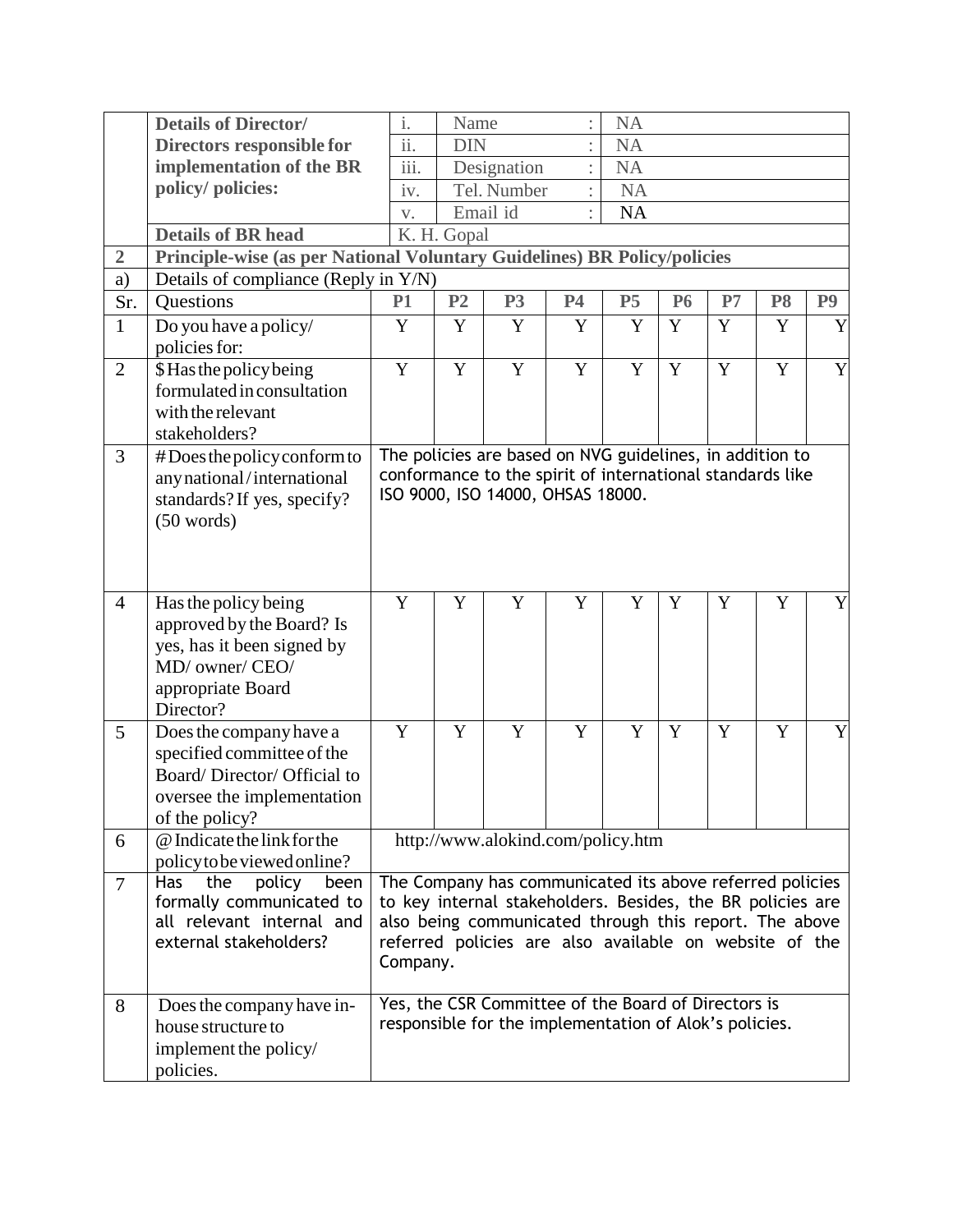|                 | <b>Details of Director/</b>                                              | $\mathbf{i}$ .                           | Name           |                                                                                                               |           | <b>NA</b> |             |    |                |                |
|-----------------|--------------------------------------------------------------------------|------------------------------------------|----------------|---------------------------------------------------------------------------------------------------------------|-----------|-----------|-------------|----|----------------|----------------|
|                 | Directors responsible for                                                | $\overline{\textbf{ii}}$ .<br><b>DIN</b> |                |                                                                                                               |           | <b>NA</b> |             |    |                |                |
|                 | implementation of the BR                                                 | $\overline{\text{iii}}$ .<br>Designation |                |                                                                                                               |           | <b>NA</b> |             |    |                |                |
|                 | policy/ policies:                                                        | iv.                                      | Tel. Number    |                                                                                                               |           | <b>NA</b> |             |    |                |                |
|                 |                                                                          | V.                                       |                | Email id                                                                                                      |           | <b>NA</b> |             |    |                |                |
|                 | <b>Details of BR head</b>                                                |                                          | K. H. Gopal    |                                                                                                               |           |           |             |    |                |                |
| $\overline{2}$  | Principle-wise (as per National Voluntary Guidelines) BR Policy/policies |                                          |                |                                                                                                               |           |           |             |    |                |                |
| a)              | Details of compliance (Reply in Y/N)                                     |                                          |                |                                                                                                               |           |           |             |    |                |                |
| Sr.             | <b>Questions</b>                                                         | <b>P1</b>                                | P <sub>2</sub> | P <sub>3</sub>                                                                                                | <b>P4</b> | P5        | <b>P6</b>   | P7 | P <sub>8</sub> | P <sub>9</sub> |
| $\mathbf{1}$    | Do you have a policy/                                                    | Y                                        | Y              | Y                                                                                                             | Y         | Y         | Y           | Y  | Y              | Y              |
|                 | policies for:                                                            |                                          |                |                                                                                                               |           |           |             |    |                |                |
| $\overline{2}$  | \$Has the policy being                                                   | $\mathbf Y$                              | $\mathbf Y$    | Y                                                                                                             | Y         | Y         | Y           | Y  | Y              | Y              |
|                 | formulated in consultation                                               |                                          |                |                                                                                                               |           |           |             |    |                |                |
|                 | with the relevant                                                        |                                          |                |                                                                                                               |           |           |             |    |                |                |
|                 | stakeholders?                                                            |                                          |                |                                                                                                               |           |           |             |    |                |                |
| 3               | #Does the policy conform to                                              |                                          |                | The policies are based on NVG guidelines, in addition to                                                      |           |           |             |    |                |                |
|                 | any national/international                                               |                                          |                | conformance to the spirit of international standards like                                                     |           |           |             |    |                |                |
|                 | standards? If yes, specify?                                              |                                          |                | ISO 9000, ISO 14000, OHSAS 18000.                                                                             |           |           |             |    |                |                |
|                 | (50 words)                                                               |                                          |                |                                                                                                               |           |           |             |    |                |                |
|                 |                                                                          |                                          |                |                                                                                                               |           |           |             |    |                |                |
|                 |                                                                          |                                          |                |                                                                                                               |           |           |             |    |                |                |
|                 |                                                                          | Y                                        | Y              | Y                                                                                                             | Y         | Y         | $\mathbf Y$ | Y  | Y              | Y              |
| $\overline{4}$  | Has the policy being                                                     |                                          |                |                                                                                                               |           |           |             |    |                |                |
|                 | approved by the Board? Is<br>yes, has it been signed by                  |                                          |                |                                                                                                               |           |           |             |    |                |                |
|                 | MD/ owner/ CEO/                                                          |                                          |                |                                                                                                               |           |           |             |    |                |                |
|                 | appropriate Board                                                        |                                          |                |                                                                                                               |           |           |             |    |                |                |
|                 | Director?                                                                |                                          |                |                                                                                                               |           |           |             |    |                |                |
| $5\overline{)}$ | Does the company have a                                                  | Y                                        | Y              | Y                                                                                                             | Y         | Y         | Y           | Y  | Y              | Y              |
|                 | specified committee of the                                               |                                          |                |                                                                                                               |           |           |             |    |                |                |
|                 | Board/Director/Official to                                               |                                          |                |                                                                                                               |           |           |             |    |                |                |
|                 | oversee the implementation                                               |                                          |                |                                                                                                               |           |           |             |    |                |                |
|                 | of the policy?                                                           |                                          |                |                                                                                                               |           |           |             |    |                |                |
| 6               | @ Indicate the link for the                                              |                                          |                | http://www.alokind.com/policy.htm                                                                             |           |           |             |    |                |                |
|                 | policy to be viewed online?                                              |                                          |                |                                                                                                               |           |           |             |    |                |                |
| $\overline{7}$  | the<br><b>Has</b><br>policy<br>been                                      |                                          |                | The Company has communicated its above referred policies                                                      |           |           |             |    |                |                |
|                 | formally communicated to                                                 |                                          |                | to key internal stakeholders. Besides, the BR policies are                                                    |           |           |             |    |                |                |
|                 | all relevant internal and                                                |                                          |                | also being communicated through this report. The above                                                        |           |           |             |    |                |                |
|                 | external stakeholders?                                                   |                                          |                | referred policies are also available on website of the                                                        |           |           |             |    |                |                |
|                 |                                                                          | Company.                                 |                |                                                                                                               |           |           |             |    |                |                |
|                 |                                                                          |                                          |                |                                                                                                               |           |           |             |    |                |                |
| 8               | Does the company have in-<br>house structure to                          |                                          |                | Yes, the CSR Committee of the Board of Directors is<br>responsible for the implementation of Alok's policies. |           |           |             |    |                |                |
|                 |                                                                          |                                          |                |                                                                                                               |           |           |             |    |                |                |
|                 | implement the policy/                                                    |                                          |                |                                                                                                               |           |           |             |    |                |                |
|                 | policies.                                                                |                                          |                |                                                                                                               |           |           |             |    |                |                |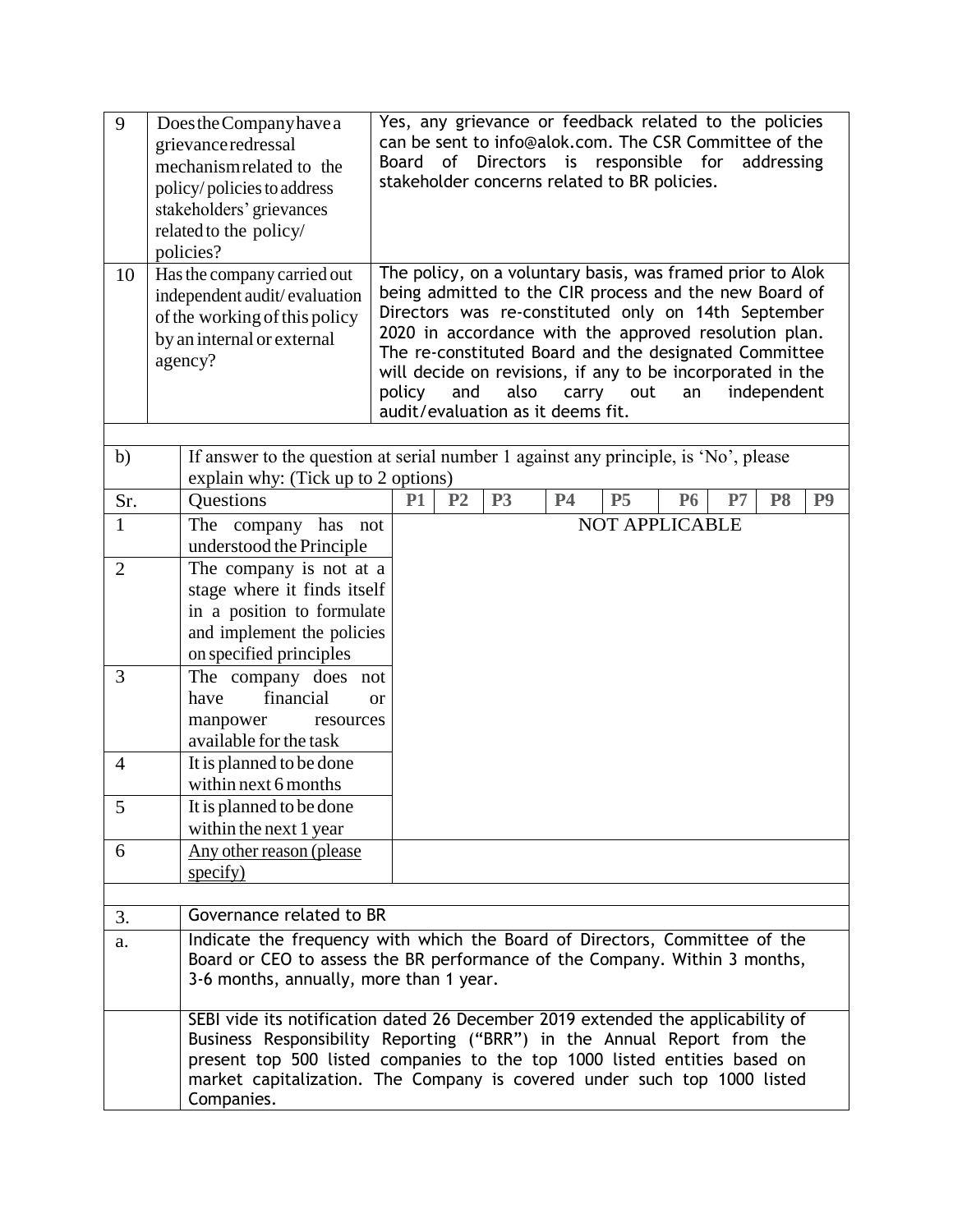| 9<br>10        | Does the Company have a<br>grievance redressal<br>mechanism related to the<br>policy/policies to address<br>stakeholders' grievances<br>related to the policy/<br>policies?<br>Has the company carried out<br>independent audit/evaluation<br>of the working of this policy<br>by an internal or external<br>agency? | Yes, any grievance or feedback related to the policies<br>can be sent to info@alok.com. The CSR Committee of the<br>Board of Directors is responsible for<br>addressing<br>stakeholder concerns related to BR policies.<br>The policy, on a voluntary basis, was framed prior to Alok<br>being admitted to the CIR process and the new Board of<br>Directors was re-constituted only on 14th September<br>2020 in accordance with the approved resolution plan.<br>The re-constituted Board and the designated Committee<br>will decide on revisions, if any to be incorporated in the<br>policy<br>and<br>also<br>independent<br>carry<br>out<br>an |  |  |  |  |
|----------------|----------------------------------------------------------------------------------------------------------------------------------------------------------------------------------------------------------------------------------------------------------------------------------------------------------------------|------------------------------------------------------------------------------------------------------------------------------------------------------------------------------------------------------------------------------------------------------------------------------------------------------------------------------------------------------------------------------------------------------------------------------------------------------------------------------------------------------------------------------------------------------------------------------------------------------------------------------------------------------|--|--|--|--|
|                |                                                                                                                                                                                                                                                                                                                      | audit/evaluation as it deems fit.                                                                                                                                                                                                                                                                                                                                                                                                                                                                                                                                                                                                                    |  |  |  |  |
| b)             | explain why: (Tick up to 2 options)                                                                                                                                                                                                                                                                                  | If answer to the question at serial number 1 against any principle, is 'No', please                                                                                                                                                                                                                                                                                                                                                                                                                                                                                                                                                                  |  |  |  |  |
| Sr.            | Questions                                                                                                                                                                                                                                                                                                            | P <sub>3</sub><br>P <sub>2</sub><br><b>P4</b><br><b>P5</b><br>P7<br>P <sub>8</sub><br><b>P1</b><br><b>P6</b><br>P <sub>9</sub>                                                                                                                                                                                                                                                                                                                                                                                                                                                                                                                       |  |  |  |  |
| 1              | The company has not                                                                                                                                                                                                                                                                                                  | <b>NOT APPLICABLE</b>                                                                                                                                                                                                                                                                                                                                                                                                                                                                                                                                                                                                                                |  |  |  |  |
|                | understood the Principle                                                                                                                                                                                                                                                                                             |                                                                                                                                                                                                                                                                                                                                                                                                                                                                                                                                                                                                                                                      |  |  |  |  |
| $\overline{2}$ | The company is not at a                                                                                                                                                                                                                                                                                              |                                                                                                                                                                                                                                                                                                                                                                                                                                                                                                                                                                                                                                                      |  |  |  |  |
|                | stage where it finds itself<br>in a position to formulate                                                                                                                                                                                                                                                            |                                                                                                                                                                                                                                                                                                                                                                                                                                                                                                                                                                                                                                                      |  |  |  |  |
|                | and implement the policies                                                                                                                                                                                                                                                                                           |                                                                                                                                                                                                                                                                                                                                                                                                                                                                                                                                                                                                                                                      |  |  |  |  |
|                | on specified principles                                                                                                                                                                                                                                                                                              |                                                                                                                                                                                                                                                                                                                                                                                                                                                                                                                                                                                                                                                      |  |  |  |  |
| 3              | The company does not                                                                                                                                                                                                                                                                                                 |                                                                                                                                                                                                                                                                                                                                                                                                                                                                                                                                                                                                                                                      |  |  |  |  |
|                | financial<br>have                                                                                                                                                                                                                                                                                                    | or                                                                                                                                                                                                                                                                                                                                                                                                                                                                                                                                                                                                                                                   |  |  |  |  |
|                | manpower<br>resources                                                                                                                                                                                                                                                                                                |                                                                                                                                                                                                                                                                                                                                                                                                                                                                                                                                                                                                                                                      |  |  |  |  |
| $\overline{4}$ | available for the task<br>It is planned to be done                                                                                                                                                                                                                                                                   |                                                                                                                                                                                                                                                                                                                                                                                                                                                                                                                                                                                                                                                      |  |  |  |  |
|                | within next 6 months                                                                                                                                                                                                                                                                                                 |                                                                                                                                                                                                                                                                                                                                                                                                                                                                                                                                                                                                                                                      |  |  |  |  |
| 5              | It is planned to be done                                                                                                                                                                                                                                                                                             |                                                                                                                                                                                                                                                                                                                                                                                                                                                                                                                                                                                                                                                      |  |  |  |  |
|                | within the next 1 year                                                                                                                                                                                                                                                                                               |                                                                                                                                                                                                                                                                                                                                                                                                                                                                                                                                                                                                                                                      |  |  |  |  |
| 6              | Any other reason (please)                                                                                                                                                                                                                                                                                            |                                                                                                                                                                                                                                                                                                                                                                                                                                                                                                                                                                                                                                                      |  |  |  |  |
|                | specify)                                                                                                                                                                                                                                                                                                             |                                                                                                                                                                                                                                                                                                                                                                                                                                                                                                                                                                                                                                                      |  |  |  |  |
| 3.             | Governance related to BR                                                                                                                                                                                                                                                                                             |                                                                                                                                                                                                                                                                                                                                                                                                                                                                                                                                                                                                                                                      |  |  |  |  |
|                |                                                                                                                                                                                                                                                                                                                      | Indicate the frequency with which the Board of Directors, Committee of the                                                                                                                                                                                                                                                                                                                                                                                                                                                                                                                                                                           |  |  |  |  |
| a.             | 3-6 months, annually, more than 1 year.                                                                                                                                                                                                                                                                              | Board or CEO to assess the BR performance of the Company. Within 3 months,                                                                                                                                                                                                                                                                                                                                                                                                                                                                                                                                                                           |  |  |  |  |
|                |                                                                                                                                                                                                                                                                                                                      | SEBI vide its notification dated 26 December 2019 extended the applicability of                                                                                                                                                                                                                                                                                                                                                                                                                                                                                                                                                                      |  |  |  |  |
|                | Business Responsibility Reporting ("BRR") in the Annual Report from the<br>present top 500 listed companies to the top 1000 listed entities based on<br>market capitalization. The Company is covered under such top 1000 listed<br>Companies.                                                                       |                                                                                                                                                                                                                                                                                                                                                                                                                                                                                                                                                                                                                                                      |  |  |  |  |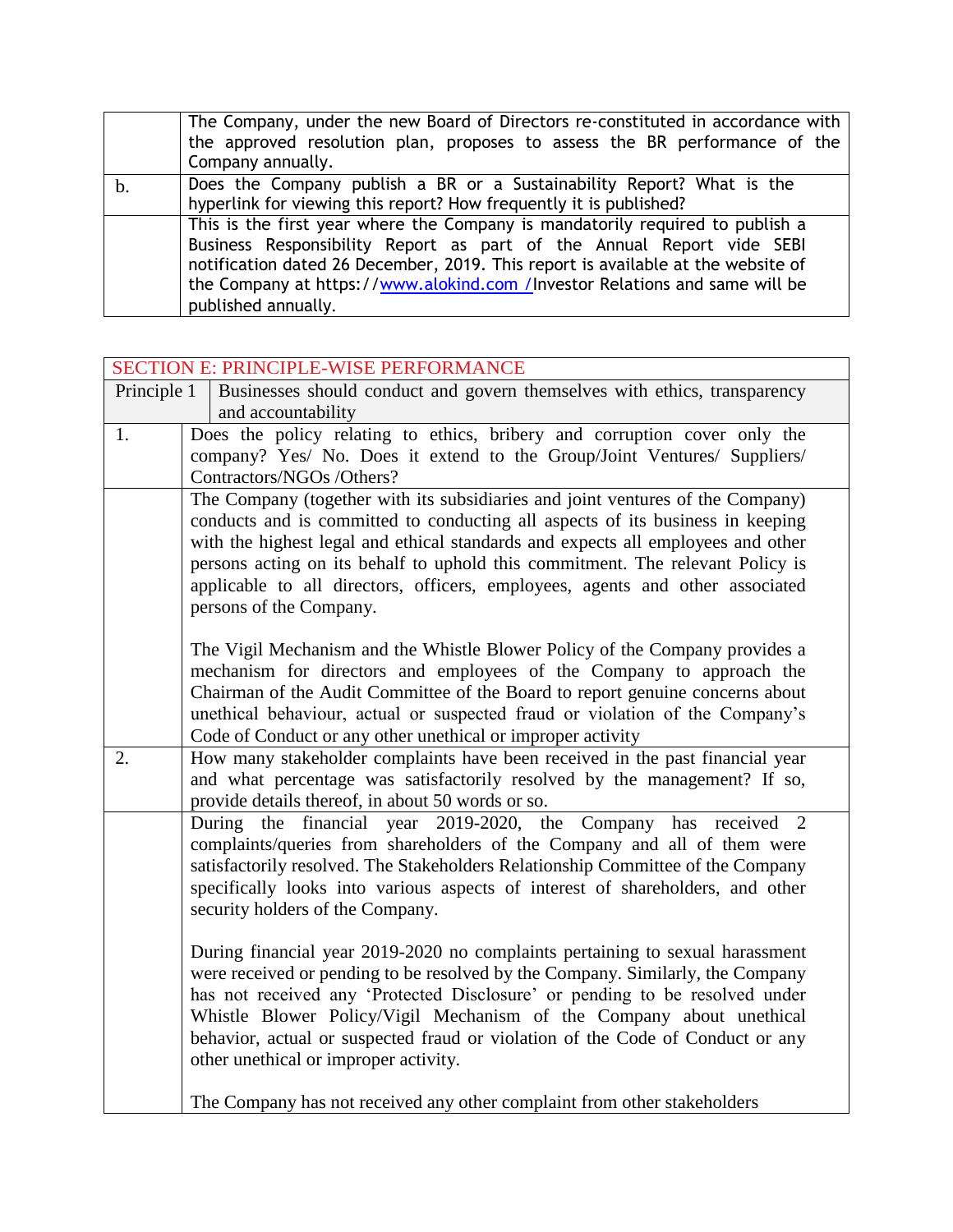| The Company, under the new Board of Directors re-constituted in accordance with<br>the approved resolution plan, proposes to assess the BR performance of the<br>Company annually.                                                                                                                                                               |
|--------------------------------------------------------------------------------------------------------------------------------------------------------------------------------------------------------------------------------------------------------------------------------------------------------------------------------------------------|
| Does the Company publish a BR or a Sustainability Report? What is the<br>hyperlink for viewing this report? How frequently it is published?                                                                                                                                                                                                      |
| This is the first year where the Company is mandatorily required to publish a<br>Business Responsibility Report as part of the Annual Report vide SEBI<br>notification dated 26 December, 2019. This report is available at the website of<br>the Company at https://www.alokind.com /Investor Relations and same will be<br>published annually. |

|             | <b>SECTION E: PRINCIPLE-WISE PERFORMANCE</b>                                     |  |  |  |  |  |  |  |
|-------------|----------------------------------------------------------------------------------|--|--|--|--|--|--|--|
| Principle 1 | Businesses should conduct and govern themselves with ethics, transparency        |  |  |  |  |  |  |  |
|             | and accountability                                                               |  |  |  |  |  |  |  |
| 1.          | Does the policy relating to ethics, bribery and corruption cover only the        |  |  |  |  |  |  |  |
|             | company? Yes/ No. Does it extend to the Group/Joint Ventures/ Suppliers/         |  |  |  |  |  |  |  |
|             | Contractors/NGOs /Others?                                                        |  |  |  |  |  |  |  |
|             | The Company (together with its subsidiaries and joint ventures of the Company)   |  |  |  |  |  |  |  |
|             | conducts and is committed to conducting all aspects of its business in keeping   |  |  |  |  |  |  |  |
|             | with the highest legal and ethical standards and expects all employees and other |  |  |  |  |  |  |  |
|             | persons acting on its behalf to uphold this commitment. The relevant Policy is   |  |  |  |  |  |  |  |
|             | applicable to all directors, officers, employees, agents and other associated    |  |  |  |  |  |  |  |
|             | persons of the Company.                                                          |  |  |  |  |  |  |  |
|             | The Vigil Mechanism and the Whistle Blower Policy of the Company provides a      |  |  |  |  |  |  |  |
|             | mechanism for directors and employees of the Company to approach the             |  |  |  |  |  |  |  |
|             | Chairman of the Audit Committee of the Board to report genuine concerns about    |  |  |  |  |  |  |  |
|             | unethical behaviour, actual or suspected fraud or violation of the Company's     |  |  |  |  |  |  |  |
|             | Code of Conduct or any other unethical or improper activity                      |  |  |  |  |  |  |  |
| 2.          | How many stakeholder complaints have been received in the past financial year    |  |  |  |  |  |  |  |
|             | and what percentage was satisfactorily resolved by the management? If so,        |  |  |  |  |  |  |  |
|             | provide details thereof, in about 50 words or so.                                |  |  |  |  |  |  |  |
|             | During the financial year 2019-2020, the Company has received<br>2               |  |  |  |  |  |  |  |
|             | complaints/queries from shareholders of the Company and all of them were         |  |  |  |  |  |  |  |
|             | satisfactorily resolved. The Stakeholders Relationship Committee of the Company  |  |  |  |  |  |  |  |
|             | specifically looks into various aspects of interest of shareholders, and other   |  |  |  |  |  |  |  |
|             | security holders of the Company.                                                 |  |  |  |  |  |  |  |
|             |                                                                                  |  |  |  |  |  |  |  |
|             | During financial year 2019-2020 no complaints pertaining to sexual harassment    |  |  |  |  |  |  |  |
|             | were received or pending to be resolved by the Company. Similarly, the Company   |  |  |  |  |  |  |  |
|             | has not received any 'Protected Disclosure' or pending to be resolved under      |  |  |  |  |  |  |  |
|             | Whistle Blower Policy/Vigil Mechanism of the Company about unethical             |  |  |  |  |  |  |  |
|             | behavior, actual or suspected fraud or violation of the Code of Conduct or any   |  |  |  |  |  |  |  |
|             | other unethical or improper activity.                                            |  |  |  |  |  |  |  |
|             |                                                                                  |  |  |  |  |  |  |  |
|             | The Company has not received any other complaint from other stakeholders         |  |  |  |  |  |  |  |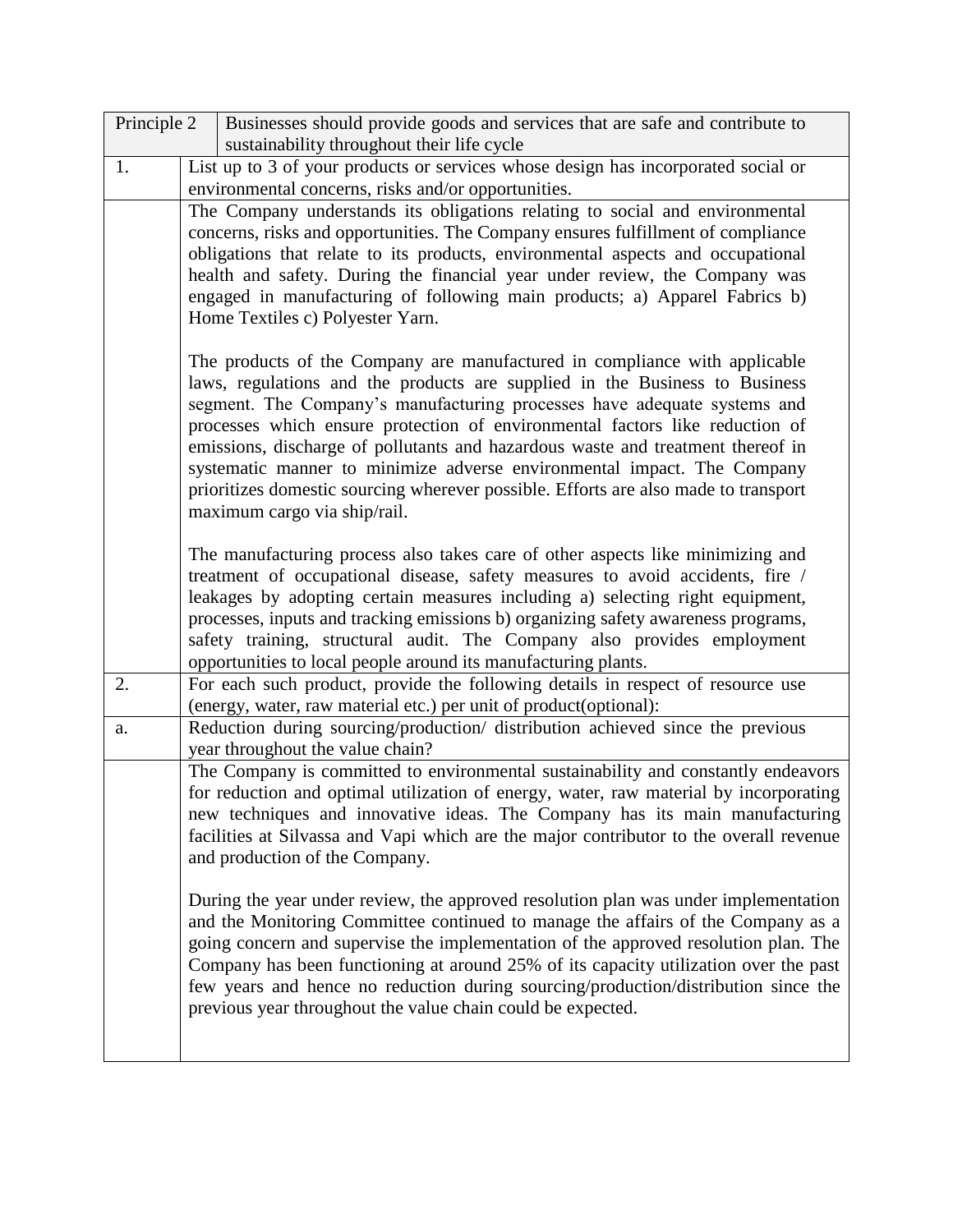| Principle 2 | Businesses should provide goods and services that are safe and contribute to                                                                                                                                                                                                                                                                                                                                                                                                                                                                                                                               |
|-------------|------------------------------------------------------------------------------------------------------------------------------------------------------------------------------------------------------------------------------------------------------------------------------------------------------------------------------------------------------------------------------------------------------------------------------------------------------------------------------------------------------------------------------------------------------------------------------------------------------------|
|             | sustainability throughout their life cycle                                                                                                                                                                                                                                                                                                                                                                                                                                                                                                                                                                 |
| 1.          | List up to 3 of your products or services whose design has incorporated social or                                                                                                                                                                                                                                                                                                                                                                                                                                                                                                                          |
|             | environmental concerns, risks and/or opportunities.<br>The Company understands its obligations relating to social and environmental                                                                                                                                                                                                                                                                                                                                                                                                                                                                        |
|             | concerns, risks and opportunities. The Company ensures fulfillment of compliance<br>obligations that relate to its products, environmental aspects and occupational<br>health and safety. During the financial year under review, the Company was<br>engaged in manufacturing of following main products; a) Apparel Fabrics b)<br>Home Textiles c) Polyester Yarn.                                                                                                                                                                                                                                        |
|             | The products of the Company are manufactured in compliance with applicable<br>laws, regulations and the products are supplied in the Business to Business<br>segment. The Company's manufacturing processes have adequate systems and<br>processes which ensure protection of environmental factors like reduction of<br>emissions, discharge of pollutants and hazardous waste and treatment thereof in<br>systematic manner to minimize adverse environmental impact. The Company<br>prioritizes domestic sourcing wherever possible. Efforts are also made to transport<br>maximum cargo via ship/rail. |
|             | The manufacturing process also takes care of other aspects like minimizing and<br>treatment of occupational disease, safety measures to avoid accidents, fire /<br>leakages by adopting certain measures including a) selecting right equipment,<br>processes, inputs and tracking emissions b) organizing safety awareness programs,<br>safety training, structural audit. The Company also provides employment<br>opportunities to local people around its manufacturing plants.                                                                                                                         |
| 2.          | For each such product, provide the following details in respect of resource use<br>(energy, water, raw material etc.) per unit of product(optional):                                                                                                                                                                                                                                                                                                                                                                                                                                                       |
| a.          | Reduction during sourcing/production/ distribution achieved since the previous<br>year throughout the value chain?                                                                                                                                                                                                                                                                                                                                                                                                                                                                                         |
|             | The Company is committed to environmental sustainability and constantly endeavors<br>for reduction and optimal utilization of energy, water, raw material by incorporating<br>new techniques and innovative ideas. The Company has its main manufacturing<br>facilities at Silvassa and Vapi which are the major contributor to the overall revenue<br>and production of the Company.                                                                                                                                                                                                                      |
|             | During the year under review, the approved resolution plan was under implementation<br>and the Monitoring Committee continued to manage the affairs of the Company as a<br>going concern and supervise the implementation of the approved resolution plan. The<br>Company has been functioning at around 25% of its capacity utilization over the past<br>few years and hence no reduction during sourcing/production/distribution since the<br>previous year throughout the value chain could be expected.                                                                                                |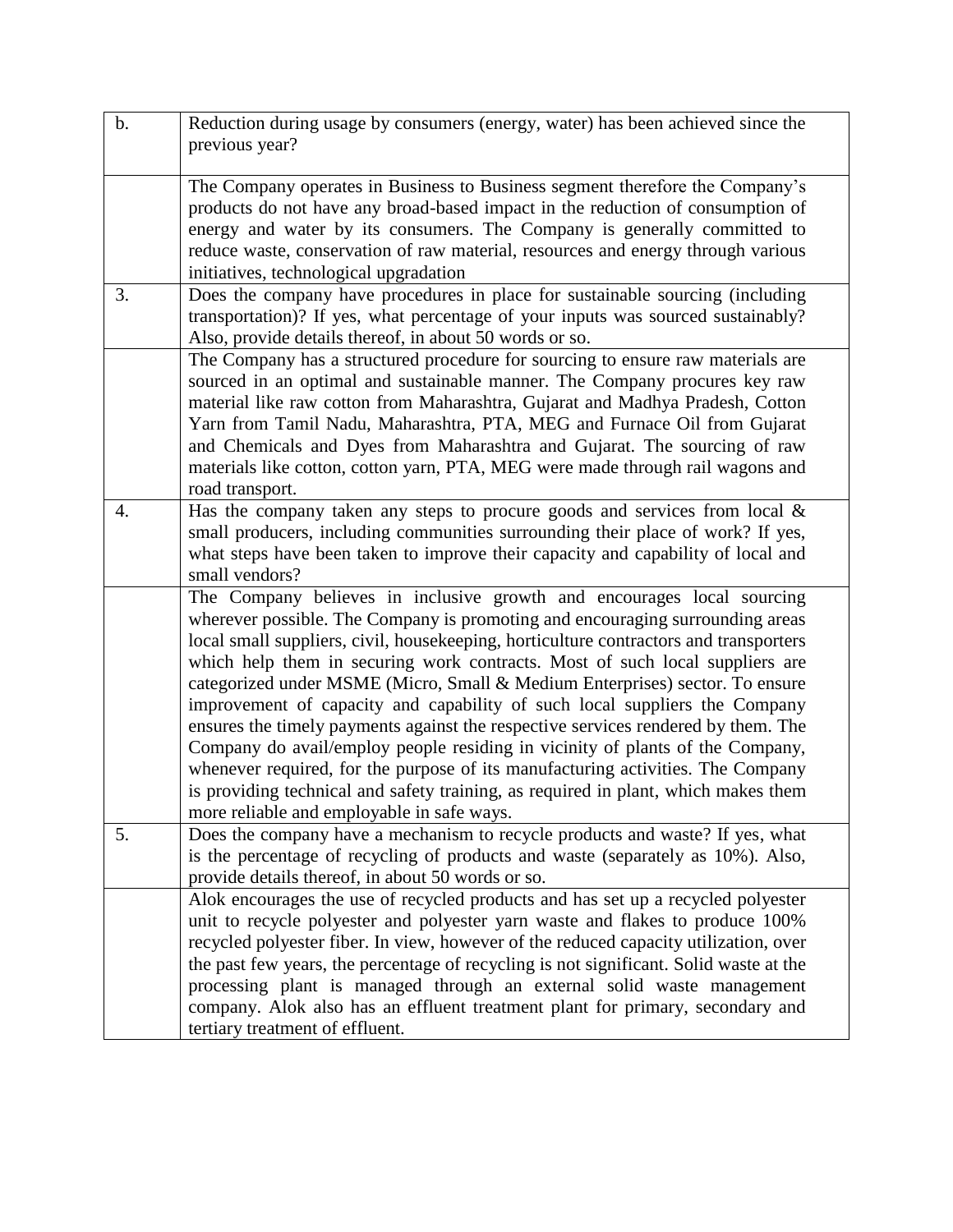| b. | Reduction during usage by consumers (energy, water) has been achieved since the<br>previous year?                                                                                                                                                                                                                                                                                                                                                                                                                                                                                                                                                                                                                                                                                                                                                                                           |
|----|---------------------------------------------------------------------------------------------------------------------------------------------------------------------------------------------------------------------------------------------------------------------------------------------------------------------------------------------------------------------------------------------------------------------------------------------------------------------------------------------------------------------------------------------------------------------------------------------------------------------------------------------------------------------------------------------------------------------------------------------------------------------------------------------------------------------------------------------------------------------------------------------|
|    |                                                                                                                                                                                                                                                                                                                                                                                                                                                                                                                                                                                                                                                                                                                                                                                                                                                                                             |
|    | The Company operates in Business to Business segment therefore the Company's<br>products do not have any broad-based impact in the reduction of consumption of<br>energy and water by its consumers. The Company is generally committed to<br>reduce waste, conservation of raw material, resources and energy through various<br>initiatives, technological upgradation                                                                                                                                                                                                                                                                                                                                                                                                                                                                                                                    |
| 3. | Does the company have procedures in place for sustainable sourcing (including<br>transportation)? If yes, what percentage of your inputs was sourced sustainably?<br>Also, provide details thereof, in about 50 words or so.                                                                                                                                                                                                                                                                                                                                                                                                                                                                                                                                                                                                                                                                |
|    | The Company has a structured procedure for sourcing to ensure raw materials are<br>sourced in an optimal and sustainable manner. The Company procures key raw<br>material like raw cotton from Maharashtra, Gujarat and Madhya Pradesh, Cotton<br>Yarn from Tamil Nadu, Maharashtra, PTA, MEG and Furnace Oil from Gujarat<br>and Chemicals and Dyes from Maharashtra and Gujarat. The sourcing of raw<br>materials like cotton, cotton yarn, PTA, MEG were made through rail wagons and<br>road transport.                                                                                                                                                                                                                                                                                                                                                                                 |
| 4. | Has the company taken any steps to procure goods and services from local $\&$<br>small producers, including communities surrounding their place of work? If yes,<br>what steps have been taken to improve their capacity and capability of local and<br>small vendors?                                                                                                                                                                                                                                                                                                                                                                                                                                                                                                                                                                                                                      |
|    | The Company believes in inclusive growth and encourages local sourcing<br>wherever possible. The Company is promoting and encouraging surrounding areas<br>local small suppliers, civil, housekeeping, horticulture contractors and transporters<br>which help them in securing work contracts. Most of such local suppliers are<br>categorized under MSME (Micro, Small & Medium Enterprises) sector. To ensure<br>improvement of capacity and capability of such local suppliers the Company<br>ensures the timely payments against the respective services rendered by them. The<br>Company do avail/employ people residing in vicinity of plants of the Company,<br>whenever required, for the purpose of its manufacturing activities. The Company<br>is providing technical and safety training, as required in plant, which makes them<br>more reliable and employable in safe ways. |
| 5. | Does the company have a mechanism to recycle products and waste? If yes, what<br>is the percentage of recycling of products and waste (separately as 10%). Also,<br>provide details thereof, in about 50 words or so.                                                                                                                                                                                                                                                                                                                                                                                                                                                                                                                                                                                                                                                                       |
|    | Alok encourages the use of recycled products and has set up a recycled polyester<br>unit to recycle polyester and polyester yarn waste and flakes to produce 100%<br>recycled polyester fiber. In view, however of the reduced capacity utilization, over<br>the past few years, the percentage of recycling is not significant. Solid waste at the<br>processing plant is managed through an external solid waste management<br>company. Alok also has an effluent treatment plant for primary, secondary and<br>tertiary treatment of effluent.                                                                                                                                                                                                                                                                                                                                           |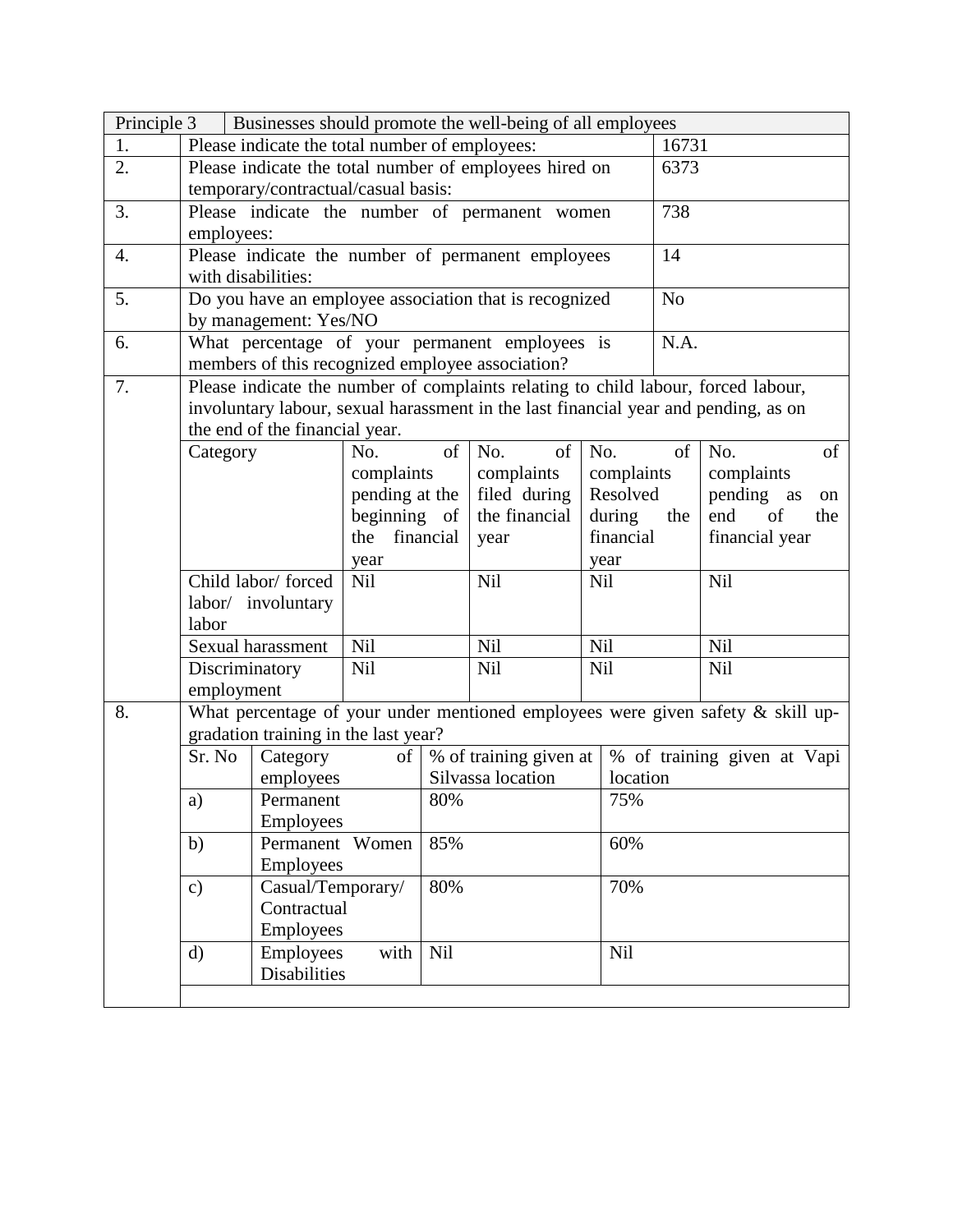| Principle 3<br>Businesses should promote the well-being of all employees |                                                                |                                                      |                |                   |                                                                                     |                     |                |                                                                                    |
|--------------------------------------------------------------------------|----------------------------------------------------------------|------------------------------------------------------|----------------|-------------------|-------------------------------------------------------------------------------------|---------------------|----------------|------------------------------------------------------------------------------------|
| 1.                                                                       | Please indicate the total number of employees:<br>16731        |                                                      |                |                   |                                                                                     |                     |                |                                                                                    |
| 2.                                                                       | Please indicate the total number of employees hired on<br>6373 |                                                      |                |                   |                                                                                     |                     |                |                                                                                    |
|                                                                          | temporary/contractual/casual basis:                            |                                                      |                |                   |                                                                                     |                     |                |                                                                                    |
| 3.                                                                       |                                                                | 738<br>Please indicate the number of permanent women |                |                   |                                                                                     |                     |                |                                                                                    |
|                                                                          | employees:                                                     |                                                      |                |                   |                                                                                     |                     |                |                                                                                    |
| 4.                                                                       |                                                                |                                                      |                |                   | Please indicate the number of permanent employees                                   |                     | 14             |                                                                                    |
|                                                                          | with disabilities:                                             |                                                      |                |                   |                                                                                     |                     |                |                                                                                    |
| 5.                                                                       |                                                                |                                                      |                |                   | Do you have an employee association that is recognized                              |                     | N <sub>o</sub> |                                                                                    |
|                                                                          |                                                                | by management: Yes/NO                                |                |                   |                                                                                     |                     |                |                                                                                    |
| 6.                                                                       |                                                                |                                                      |                |                   | What percentage of your permanent employees is                                      |                     | N.A.           |                                                                                    |
|                                                                          |                                                                |                                                      |                |                   | members of this recognized employee association?                                    |                     |                |                                                                                    |
| 7.                                                                       |                                                                |                                                      |                |                   | Please indicate the number of complaints relating to child labour, forced labour,   |                     |                |                                                                                    |
|                                                                          |                                                                |                                                      |                |                   | involuntary labour, sexual harassment in the last financial year and pending, as on |                     |                |                                                                                    |
|                                                                          |                                                                | the end of the financial year.                       |                |                   |                                                                                     |                     |                |                                                                                    |
|                                                                          | Category                                                       |                                                      | No.            | of                | of<br>No.                                                                           | No.                 | of             | No.<br>of                                                                          |
|                                                                          |                                                                |                                                      | complaints     |                   | complaints                                                                          | complaints          |                | complaints                                                                         |
|                                                                          |                                                                |                                                      | pending at the |                   | filed during<br>the financial                                                       | Resolved            |                | pending as<br>on<br>of<br>end                                                      |
|                                                                          | beginning of                                                   |                                                      |                |                   |                                                                                     | during<br>financial | the            | the<br>financial year                                                              |
|                                                                          |                                                                | the financial                                        |                |                   | year                                                                                |                     |                |                                                                                    |
|                                                                          | year<br>Child labor/ forced                                    |                                                      | <b>Nil</b>     | <b>Nil</b>        |                                                                                     | year<br><b>Nil</b>  |                | <b>Nil</b>                                                                         |
|                                                                          | labor/ involuntary                                             |                                                      |                |                   |                                                                                     |                     |                |                                                                                    |
|                                                                          | labor                                                          |                                                      |                |                   |                                                                                     |                     |                |                                                                                    |
|                                                                          |                                                                | Sexual harassment                                    | Nil<br>Nil     |                   | Nil                                                                                 | Nil                 |                | <b>Nil</b>                                                                         |
|                                                                          | Discriminatory                                                 |                                                      |                |                   | Nil                                                                                 | <b>Nil</b>          |                | <b>Nil</b>                                                                         |
|                                                                          | employment                                                     |                                                      |                |                   |                                                                                     |                     |                |                                                                                    |
| 8.                                                                       |                                                                |                                                      |                |                   |                                                                                     |                     |                | What percentage of your under mentioned employees were given safety $\&$ skill up- |
|                                                                          |                                                                | gradation training in the last year?                 |                |                   |                                                                                     |                     |                |                                                                                    |
|                                                                          | Sr. No                                                         | Category                                             | of             |                   | % of training given at                                                              |                     |                | % of training given at Vapi                                                        |
|                                                                          |                                                                | employees                                            |                | Silvassa location |                                                                                     | location            |                |                                                                                    |
|                                                                          | a)                                                             | Permanent                                            |                | 80%               |                                                                                     | 75%                 |                |                                                                                    |
|                                                                          |                                                                | Employees                                            |                |                   |                                                                                     |                     |                |                                                                                    |
|                                                                          | b)                                                             | Permanent Women                                      |                | 85%               |                                                                                     | 60%                 |                |                                                                                    |
|                                                                          |                                                                | <b>Employees</b>                                     |                |                   |                                                                                     |                     |                |                                                                                    |
|                                                                          | $\mathbf{c})$                                                  | Casual/Temporary/                                    |                | 80%               |                                                                                     | 70%                 |                |                                                                                    |
|                                                                          |                                                                | Contractual                                          |                |                   |                                                                                     |                     |                |                                                                                    |
|                                                                          |                                                                | Employees                                            |                |                   |                                                                                     |                     |                |                                                                                    |
|                                                                          | $\mathbf{d}$                                                   | Employees                                            | with           | Nil               |                                                                                     | Nil                 |                |                                                                                    |
|                                                                          |                                                                | <b>Disabilities</b>                                  |                |                   |                                                                                     |                     |                |                                                                                    |
|                                                                          |                                                                |                                                      |                |                   |                                                                                     |                     |                |                                                                                    |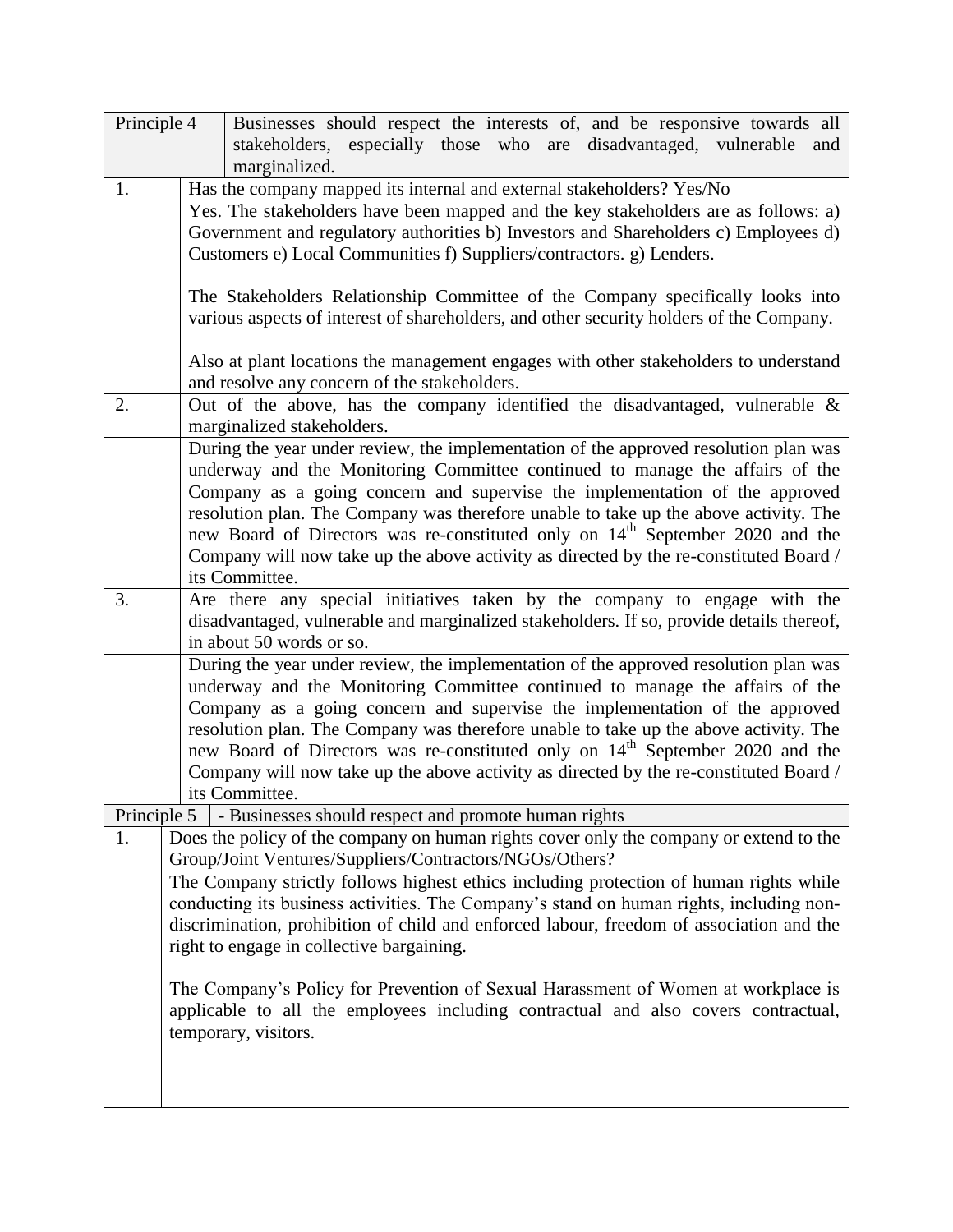| Principle 4 | Businesses should respect the interests of, and be responsive towards all<br>stakeholders, especially those who are disadvantaged, vulnerable and                                                                                                                                                                                                                                                                                                                                                                                                   |
|-------------|-----------------------------------------------------------------------------------------------------------------------------------------------------------------------------------------------------------------------------------------------------------------------------------------------------------------------------------------------------------------------------------------------------------------------------------------------------------------------------------------------------------------------------------------------------|
|             | marginalized.                                                                                                                                                                                                                                                                                                                                                                                                                                                                                                                                       |
| 1.          | Has the company mapped its internal and external stakeholders? Yes/No                                                                                                                                                                                                                                                                                                                                                                                                                                                                               |
|             | Yes. The stakeholders have been mapped and the key stakeholders are as follows: a)                                                                                                                                                                                                                                                                                                                                                                                                                                                                  |
|             | Government and regulatory authorities b) Investors and Shareholders c) Employees d)<br>Customers e) Local Communities f) Suppliers/contractors. g) Lenders.                                                                                                                                                                                                                                                                                                                                                                                         |
|             | The Stakeholders Relationship Committee of the Company specifically looks into<br>various aspects of interest of shareholders, and other security holders of the Company.                                                                                                                                                                                                                                                                                                                                                                           |
|             | Also at plant locations the management engages with other stakeholders to understand<br>and resolve any concern of the stakeholders.                                                                                                                                                                                                                                                                                                                                                                                                                |
| 2.          | Out of the above, has the company identified the disadvantaged, vulnerable $\&$<br>marginalized stakeholders.                                                                                                                                                                                                                                                                                                                                                                                                                                       |
|             | During the year under review, the implementation of the approved resolution plan was<br>underway and the Monitoring Committee continued to manage the affairs of the<br>Company as a going concern and supervise the implementation of the approved<br>resolution plan. The Company was therefore unable to take up the above activity. The<br>new Board of Directors was re-constituted only on 14 <sup>th</sup> September 2020 and the<br>Company will now take up the above activity as directed by the re-constituted Board /<br>its Committee. |
| 3.          | Are there any special initiatives taken by the company to engage with the<br>disadvantaged, vulnerable and marginalized stakeholders. If so, provide details thereof,<br>in about 50 words or so.                                                                                                                                                                                                                                                                                                                                                   |
|             | During the year under review, the implementation of the approved resolution plan was<br>underway and the Monitoring Committee continued to manage the affairs of the<br>Company as a going concern and supervise the implementation of the approved<br>resolution plan. The Company was therefore unable to take up the above activity. The<br>new Board of Directors was re-constituted only on 14 <sup>th</sup> September 2020 and the<br>Company will now take up the above activity as directed by the re-constituted Board /<br>its Committee. |
|             | Principle 5   - Businesses should respect and promote human rights                                                                                                                                                                                                                                                                                                                                                                                                                                                                                  |
| 1.          | Does the policy of the company on human rights cover only the company or extend to the<br>Group/Joint Ventures/Suppliers/Contractors/NGOs/Others?<br>The Company strictly follows highest ethics including protection of human rights while<br>conducting its business activities. The Company's stand on human rights, including non-<br>discrimination, prohibition of child and enforced labour, freedom of association and the<br>right to engage in collective bargaining.                                                                     |
|             | The Company's Policy for Prevention of Sexual Harassment of Women at workplace is<br>applicable to all the employees including contractual and also covers contractual,<br>temporary, visitors.                                                                                                                                                                                                                                                                                                                                                     |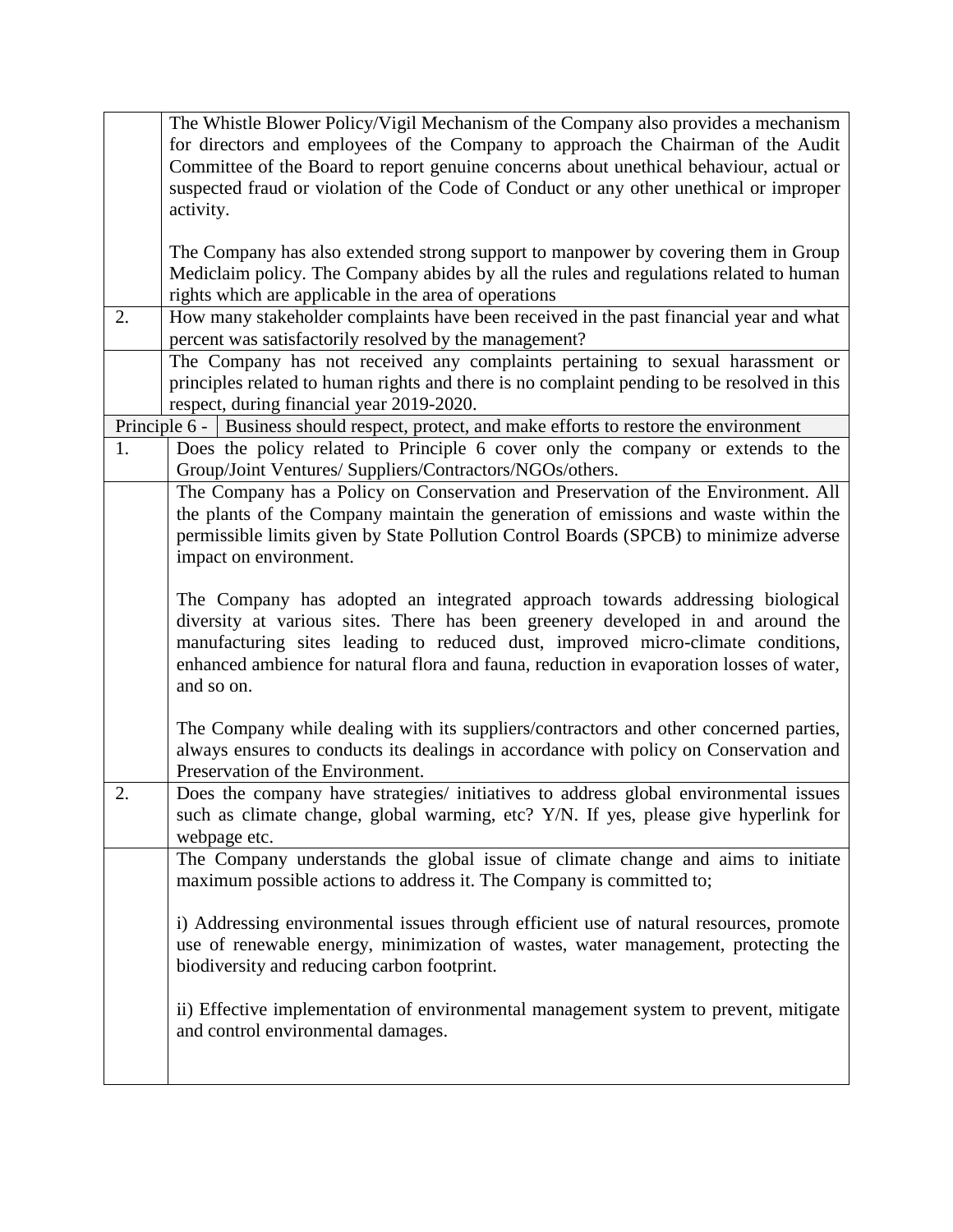|    | The Whistle Blower Policy/Vigil Mechanism of the Company also provides a mechanism          |
|----|---------------------------------------------------------------------------------------------|
|    | for directors and employees of the Company to approach the Chairman of the Audit            |
|    | Committee of the Board to report genuine concerns about unethical behaviour, actual or      |
|    | suspected fraud or violation of the Code of Conduct or any other unethical or improper      |
|    | activity.                                                                                   |
|    |                                                                                             |
|    | The Company has also extended strong support to manpower by covering them in Group          |
|    | Mediclaim policy. The Company abides by all the rules and regulations related to human      |
|    | rights which are applicable in the area of operations                                       |
| 2. | How many stakeholder complaints have been received in the past financial year and what      |
|    | percent was satisfactorily resolved by the management?                                      |
|    | The Company has not received any complaints pertaining to sexual harassment or              |
|    | principles related to human rights and there is no complaint pending to be resolved in this |
|    | respect, during financial year 2019-2020.                                                   |
|    | Principle 6 - Business should respect, protect, and make efforts to restore the environment |
| 1. | Does the policy related to Principle 6 cover only the company or extends to the             |
|    | Group/Joint Ventures/ Suppliers/Contractors/NGOs/others.                                    |
|    | The Company has a Policy on Conservation and Preservation of the Environment. All           |
|    | the plants of the Company maintain the generation of emissions and waste within the         |
|    | permissible limits given by State Pollution Control Boards (SPCB) to minimize adverse       |
|    | impact on environment.                                                                      |
|    |                                                                                             |
|    | The Company has adopted an integrated approach towards addressing biological                |
|    | diversity at various sites. There has been greenery developed in and around the             |
|    | manufacturing sites leading to reduced dust, improved micro-climate conditions,             |
|    | enhanced ambience for natural flora and fauna, reduction in evaporation losses of water,    |
|    | and so on.                                                                                  |
|    |                                                                                             |
|    | The Company while dealing with its suppliers/contractors and other concerned parties,       |
|    | always ensures to conducts its dealings in accordance with policy on Conservation and       |
|    | Preservation of the Environment.                                                            |
| 2. | Does the company have strategies/ initiatives to address global environmental issues        |
|    | such as climate change, global warming, etc? Y/N. If yes, please give hyperlink for         |
|    | webpage etc.                                                                                |
|    | The Company understands the global issue of climate change and aims to initiate             |
|    | maximum possible actions to address it. The Company is committed to;                        |
|    |                                                                                             |
|    | i) Addressing environmental issues through efficient use of natural resources, promote      |
|    | use of renewable energy, minimization of wastes, water management, protecting the           |
|    |                                                                                             |
|    | biodiversity and reducing carbon footprint.                                                 |
|    |                                                                                             |
|    | ii) Effective implementation of environmental management system to prevent, mitigate        |
|    | and control environmental damages.                                                          |
|    |                                                                                             |
|    |                                                                                             |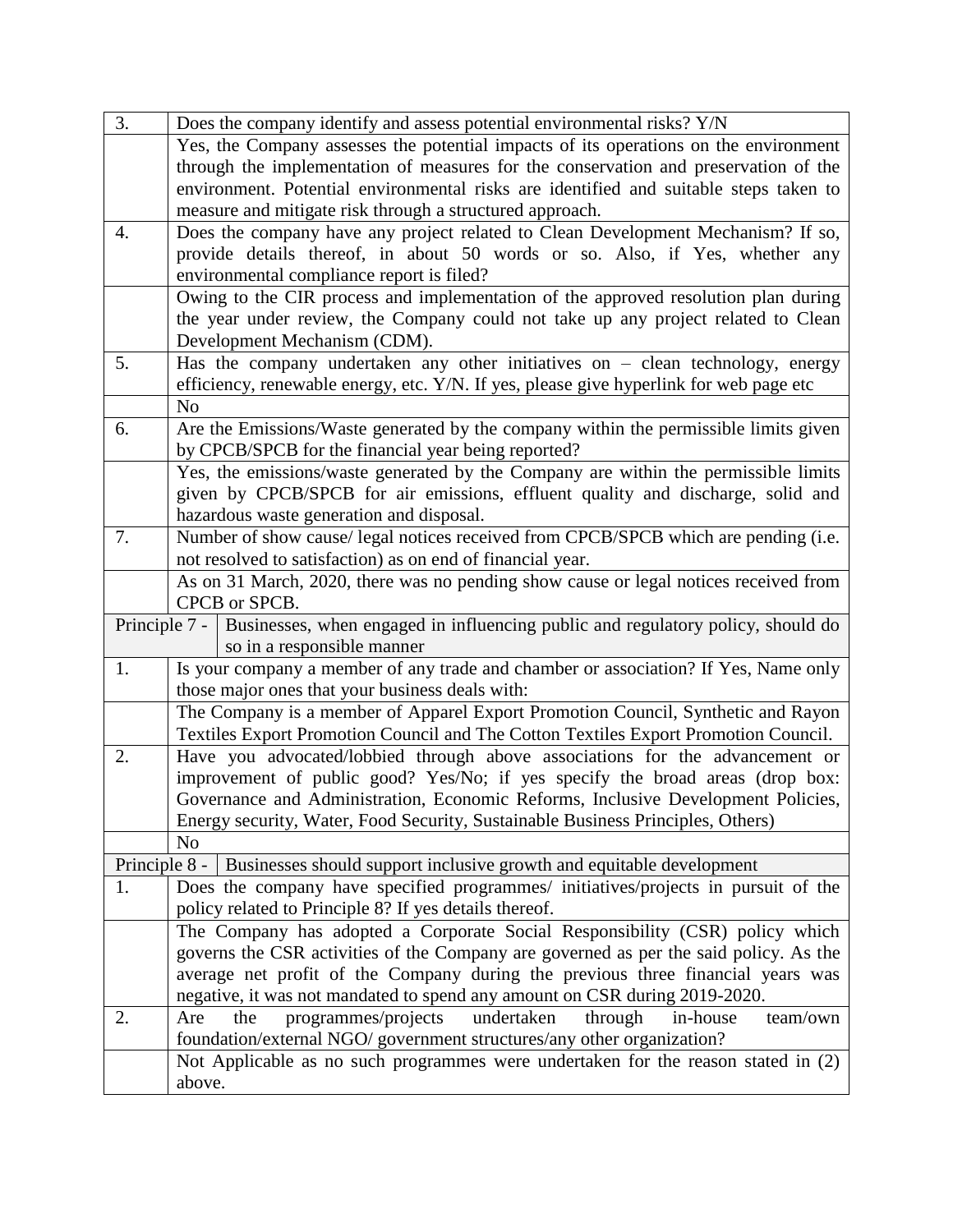| 3.                                                                                              | Does the company identify and assess potential environmental risks? Y/N                |
|-------------------------------------------------------------------------------------------------|----------------------------------------------------------------------------------------|
|                                                                                                 | Yes, the Company assesses the potential impacts of its operations on the environment   |
|                                                                                                 | through the implementation of measures for the conservation and preservation of the    |
|                                                                                                 | environment. Potential environmental risks are identified and suitable steps taken to  |
|                                                                                                 | measure and mitigate risk through a structured approach.                               |
| 4.                                                                                              | Does the company have any project related to Clean Development Mechanism? If so,       |
|                                                                                                 | provide details thereof, in about 50 words or so. Also, if Yes, whether any            |
|                                                                                                 | environmental compliance report is filed?                                              |
|                                                                                                 | Owing to the CIR process and implementation of the approved resolution plan during     |
|                                                                                                 | the year under review, the Company could not take up any project related to Clean      |
|                                                                                                 | Development Mechanism (CDM).                                                           |
| 5.                                                                                              | Has the company undertaken any other initiatives on $-$ clean technology, energy       |
|                                                                                                 | efficiency, renewable energy, etc. Y/N. If yes, please give hyperlink for web page etc |
|                                                                                                 | N <sub>o</sub>                                                                         |
| 6.                                                                                              | Are the Emissions/Waste generated by the company within the permissible limits given   |
|                                                                                                 | by CPCB/SPCB for the financial year being reported?                                    |
|                                                                                                 | Yes, the emissions/waste generated by the Company are within the permissible limits    |
|                                                                                                 | given by CPCB/SPCB for air emissions, effluent quality and discharge, solid and        |
|                                                                                                 | hazardous waste generation and disposal.                                               |
| 7.                                                                                              | Number of show cause/ legal notices received from CPCB/SPCB which are pending (i.e.    |
|                                                                                                 | not resolved to satisfaction) as on end of financial year.                             |
|                                                                                                 | As on 31 March, 2020, there was no pending show cause or legal notices received from   |
|                                                                                                 | CPCB or SPCB.                                                                          |
| Principle 7 -   Businesses, when engaged in influencing public and regulatory policy, should do |                                                                                        |
|                                                                                                 | so in a responsible manner                                                             |
| 1.                                                                                              | Is your company a member of any trade and chamber or association? If Yes, Name only    |
|                                                                                                 | those major ones that your business deals with:                                        |
|                                                                                                 | The Company is a member of Apparel Export Promotion Council, Synthetic and Rayon       |
|                                                                                                 | Textiles Export Promotion Council and The Cotton Textiles Export Promotion Council.    |
| 2.                                                                                              | Have you advocated/lobbied through above associations for the advancement or           |
|                                                                                                 | improvement of public good? Yes/No; if yes specify the broad areas (drop box:          |
|                                                                                                 | Governance and Administration, Economic Reforms, Inclusive Development Policies,       |
|                                                                                                 | Energy security, Water, Food Security, Sustainable Business Principles, Others)        |
|                                                                                                 | N <sub>o</sub>                                                                         |
|                                                                                                 | Principle 8 -   Businesses should support inclusive growth and equitable development   |
| 1.                                                                                              | Does the company have specified programmes/ initiatives/projects in pursuit of the     |
|                                                                                                 | policy related to Principle 8? If yes details thereof.                                 |
|                                                                                                 | The Company has adopted a Corporate Social Responsibility (CSR) policy which           |
|                                                                                                 | governs the CSR activities of the Company are governed as per the said policy. As the  |
|                                                                                                 | average net profit of the Company during the previous three financial years was        |
|                                                                                                 | negative, it was not mandated to spend any amount on CSR during 2019-2020.             |
| 2.                                                                                              | undertaken<br>the<br>programmes/projects<br>through<br>team/own<br>Are<br>in-house     |
|                                                                                                 | foundation/external NGO/ government structures/any other organization?                 |
|                                                                                                 | Not Applicable as no such programmes were undertaken for the reason stated in (2)      |
|                                                                                                 | above.                                                                                 |